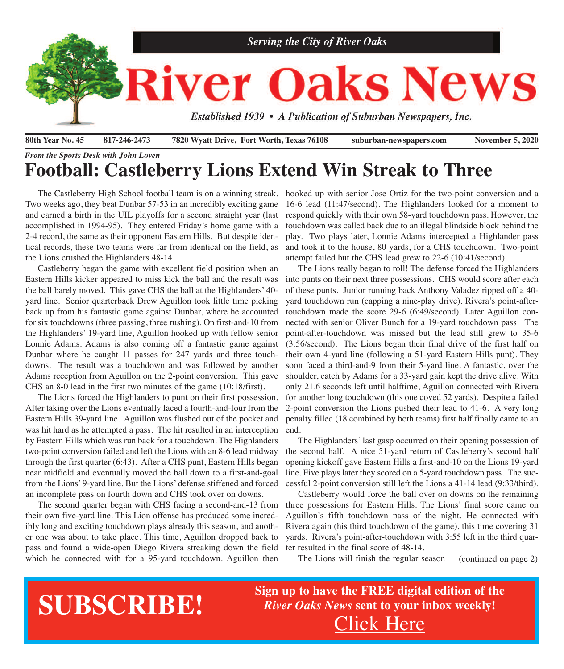

# *From the Sports Desk with John Loven* **Football: Castleberry Lions Extend Win Streak to Three**

The Castleberry High School football team is on a winning streak. hooked up with senior Jose Ortiz for the two-point conversion and a Two weeks ago, they beat Dunbar 57-53 in an incredibly exciting game and earned a birth in the UIL playoffs for a second straight year (last accomplished in 1994-95). They entered Friday's home game with a 2-4 record, the same as their opponent Eastern Hills. But despite identical records, these two teams were far from identical on the field, as the Lions crushed the Highlanders 48-14.

 Castleberry began the game with excellent field position when an Eastern Hills kicker appeared to miss kick the ball and the result was the ball barely moved. This gave CHS the ball at the Highlanders' 40 yard line. Senior quarterback Drew Aguillon took little time picking back up from his fantastic game against Dunbar, where he accounted for six touchdowns (three passing, three rushing). On first-and-10 from the Highlanders' 19-yard line, Aguillon hooked up with fellow senior Lonnie Adams. Adams is also coming off a fantastic game against Dunbar where he caught 11 passes for 247 yards and three touchdowns. The result was a touchdown and was followed by another Adams reception from Aguillon on the 2-point conversion. This gave CHS an 8-0 lead in the first two minutes of the game (10:18/first).

 The Lions forced the Highlanders to punt on their first possession. After taking over the Lions eventually faced a fourth-and-four from the Eastern Hills 39-yard line. Aguillon was flushed out of the pocket and was hit hard as he attempted a pass. The hit resulted in an interception by Eastern Hills which was run back for a touchdown. The Highlanders two-point conversion failed and left the Lions with an 8-6 lead midway through the first quarter (6:43). After a CHS punt, Eastern Hills began near midfield and eventually moved the ball down to a first-and-goal from the Lions' 9-yard line. But the Lions' defense stiffened and forced an incomplete pass on fourth down and CHS took over on downs.

 The second quarter began with CHS facing a second-and-13 from their own five-yard line. This Lion offense has produced some incredibly long and exciting touchdown plays already this season, and another one was about to take place. This time, Aguillon dropped back to pass and found a wide-open Diego Rivera streaking down the field which he connected with for a 95-yard touchdown. Aguillon then The Lions will finish the regular season (continued on page 2)

16-6 lead (11:47/second). The Highlanders looked for a moment to respond quickly with their own 58-yard touchdown pass. However, the touchdown was called back due to an illegal blindside block behind the play. Two plays later, Lonnie Adams intercepted a Highlander pass and took it to the house, 80 yards, for a CHS touchdown. Two-point attempt failed but the CHS lead grew to 22-6 (10:41/second).

 The Lions really began to roll! The defense forced the Highlanders into punts on their next three possessions. CHS would score after each of these punts. Junior running back Anthony Valadez ripped off a 40 yard touchdown run (capping a nine-play drive). Rivera's point-aftertouchdown made the score 29-6 (6:49/second). Later Aguillon connected with senior Oliver Bunch for a 19-yard touchdown pass. The point-after-touchdown was missed but the lead still grew to 35-6 (3:56/second). The Lions began their final drive of the first half on their own 4-yard line (following a 51-yard Eastern Hills punt). They soon faced a third-and-9 from their 5-yard line. A fantastic, over the shoulder, catch by Adams for a 33-yard gain kept the drive alive. With only 21.6 seconds left until halftime, Aguillon connected with Rivera for another long touchdown (this one coved 52 yards). Despite a failed 2-point conversion the Lions pushed their lead to 41-6. A very long penalty filled (18 combined by both teams) first half finally came to an end.

 The Highlanders' last gasp occurred on their opening possession of the second half. A nice 51-yard return of Castleberry's second half opening kickoff gave Eastern Hills a first-and-10 on the Lions 19-yard line. Five plays later they scored on a 5-yard touchdown pass. The successful 2-point conversion still left the Lions a 41-14 lead (9:33/third).

 Castleberry would force the ball over on downs on the remaining three possessions for Eastern Hills. The Lions' final score came on Aguillon's fifth touchdown pass of the night. He connected with Rivera again (his third touchdown of the game), this time covering 31 yards. Rivera's point-after-touchdown with 3:55 left in the third quarter resulted in the final score of 48-14.

The Lions will finish the regular season

# **SUBSCRIBE!**

**Sign up to have the FREE digital edition of the** *River Oaks News* **sent to your inbox weekly!** [Click](http://eepurl.com/g3m8OX) Here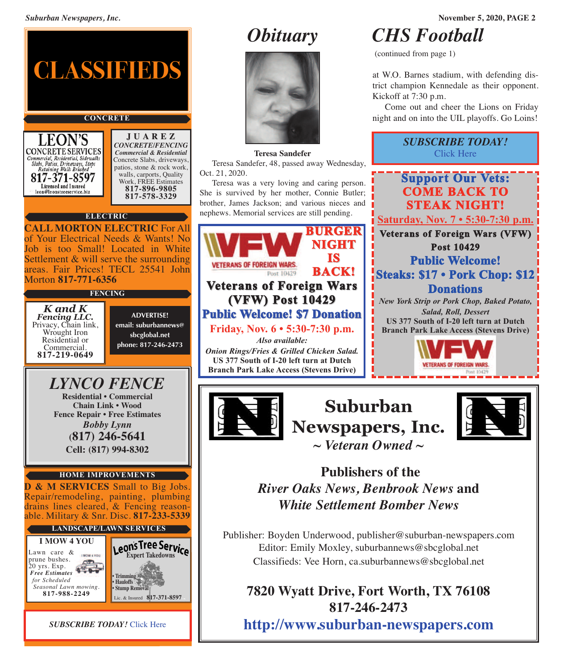

*SUBSCRIBE TODAY!* [Click](http://eepurl.com/g3m8OX) Here



#### **Teresa Sandefer**

 Teresa Sandefer, 48, passed away Wednesday, Oct. 21, 2020.

 Teresa was a very loving and caring person. She is survived by her mother, Connie Butler; brother, James Jackson; and various nieces and nephews. Memorial services are still pending.





**Suburban Newspapers, Inc.** *~ Veteran Owned ~*



# **Publishers of the** *River Oaks News, Benbrook News* **and** *White Settlement Bomber News*

Publisher: Boyden Underwood, publisher@suburban-newspapers.com Editor: Emily Moxley, suburbannews@sbcglobal.net Classifieds: Vee Horn, ca.suburbannews@sbcglobal.net

# **7820 Wyatt Drive, Fort Worth, TX 76108 817-246-2473 <http://www.suburban-newspapers.com>**

*Obituary CHS Football*

(continued from page 1)

at W.O. Barnes stadium, with defending district champion Kennedale as their opponent. Kickoff at 7:30 p.m.

 Come out and cheer the Lions on Friday night and on into the UIL playoffs. Go Loins!

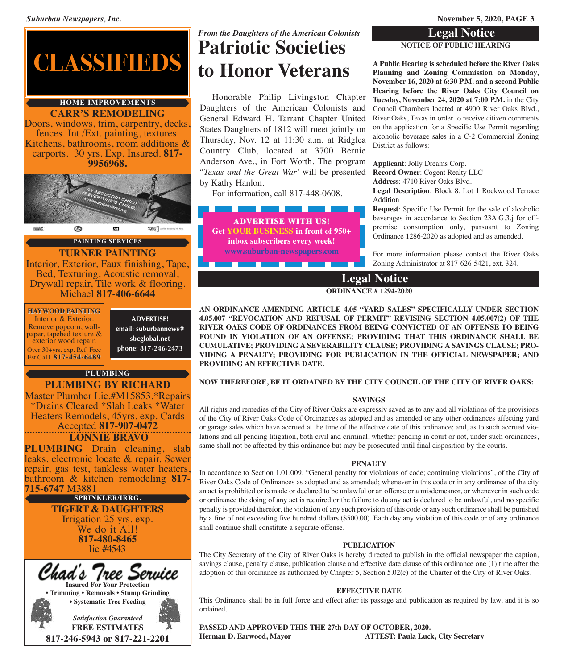*Suburban Newspapers, Inc.* **November 5, 2020, PAGE 3**

#### **Legal Notice**

#### **NOTICE OF PUBLIC HEARING**

**A Public Hearing is scheduled before the River Oaks Planning and Zoning Commission on Monday, November 16, 2020 at 6:30 P.M. and a second Public Hearing before the River Oaks City Council on Tuesday, November 24, 2020 at 7:00 P.M.** in the City Council Chambers located at 4900 River Oaks Blvd., River Oaks, Texas in order to receive citizen comments on the application for a Specific Use Permit regarding alcoholic beverage sales in a C-2 Commercial Zoning District as follows:

**Applicant**: Jolly Dreams Corp.

**Record Owner**: Cogent Realty LLC **Address**: 4710 River Oaks Blvd.

**Legal Description**: Block 8, Lot 1 Rockwood Terrace Addition

**Request**: Specific Use Permit for the sale of alcoholic beverages in accordance to Section 23A.G.3.j for offpremise consumption only, pursuant to Zoning Ordinance 1286-2020 as adopted and as amended.

For more information please contact the River Oaks Zoning Administrator at 817-626-5421, ext. 324.

**Legal Notice**

**ORDINANCE # 1294-2020**

 Honorable Philip Livingston Chapter Daughters of the American Colonists and General Edward H. Tarrant Chapter United States Daughters of 1812 will meet jointly on Thursday, Nov. 12 at 11:30 a.m. at Ridglea Country Club, located at 3700 Bernie Anderson Ave., in Fort Worth. The program "*Texas and the Great War*' will be presented

*From the Daughters of the American Colonists*

**Patriotic Societies**

**to Honor Veterans**

For information, call 817-448-0608.

**ADVERTISE WITH US! Get YOUR BUSINESS in front of 950+ inbox subscribers every week! <www.suburban-newspapers.com>**

\_\_\_\_\_\_\_\_

by Kathy Hanlon.

**AN ORDINANCE AMENDING ARTICLE 4.05 "YARD SALES" SPECIFICALLY UNDER SECTION 4.05.007 "REVOCATION AND REFUSAL OF PERMIT" REVISING SECTION 4.05.007(2) OF THE RIVER OAKS CODE OF ORDINANCES FROM BEING CONVICTED OF AN OFFENSE TO BEING FOUND IN VIOLATION OF AN OFFENSE; PROVIDING THAT THIS ORDINANCE SHALL BE CUMULATIVE; PROVIDING A SEVERABILITY CLAUSE; PROVIDING A SAVINGS CLAUSE; PRO-VIDING A PENALTY; PROVIDING FOR PUBLICATION IN THE OFFICIAL NEWSPAPER; AND PROVIDING AN EFFECTIVE DATE.**

#### **NOW THEREFORE, BE IT ORDAINED BY THE CITY COUNCIL OF THE CITY OF RIVER OAKS:**

#### **SAVINGS**

All rights and remedies of the City of River Oaks are expressly saved as to any and all violations of the provisions of the City of River Oaks Code of Ordinances as adopted and as amended or any other ordinances affecting yard or garage sales which have accrued at the time of the effective date of this ordinance; and, as to such accrued violations and all pending litigation, both civil and criminal, whether pending in court or not, under such ordinances, same shall not be affected by this ordinance but may be prosecuted until final disposition by the courts.

#### **PENALTY**

In accordance to Section 1.01.009, "General penalty for violations of code; continuing violations", of the City of River Oaks Code of Ordinances as adopted and as amended; whenever in this code or in any ordinance of the city an act is prohibited or is made or declared to be unlawful or an offense or a misdemeanor, or whenever in such code or ordinance the doing of any act is required or the failure to do any act is declared to be unlawful, and no specific penalty is provided therefor, the violation of any such provision of this code or any such ordinance shall be punished by a fine of not exceeding five hundred dollars (\$500.00). Each day any violation of this code or of any ordinance shall continue shall constitute a separate offense.

#### **PUBLICATION**

The City Secretary of the City of River Oaks is hereby directed to publish in the official newspaper the caption, savings clause, penalty clause, publication clause and effective date clause of this ordinance one (1) time after the adoption of this ordinance as authorized by Chapter 5, Section 5.02(c) of the Charter of the City of River Oaks.

#### **EFFECTIVE DATE**

This Ordinance shall be in full force and effect after its passage and publication as required by law, and it is so ordained.

**PASSED AND APPROVED THIS THE 27th DAY OF OCTOBER, 2020. Herman D. Earwood, Mayor ATTEST: Paula Luck, City Secretary**



#### **CARR'S REMODELING HOME IMPROVEMENTS**

Doors, windows, trim, carpentry, decks, fences. Int./Ext. painting, textures. Kitchens, bathrooms, room additions & carports. <sup>30</sup> yrs. Exp. Insured. **817- 9956968.**



**PAINTING SERVICES**

### **TURNER PAINTING**

Interior, Exterior, Faux finishing, Tape, Bed, Texturing, Acoustic removal, Drywall repair, Tile work & flooring.<br>Michael **817-406-6644** 

**HAYWOOD PAINTING** Interior & Exterior. Remove popcorn, wall-<br>paper, tapebed texture & exterior wood repair. Over 30+yrs. exp. Ref. Free Est.Call **817-454-6489**

**ADVERTISE! email: suburbannews@ sbcglobal.net phone: 817-246-2473**

#### **PLUMBING**

#### **PLUMBING BY RICHARD**

Master Plumber Lic.#M15853.\*Repairs \*Drains Cleared \*Slab Leaks \*Water Heaters Remodels, 45yrs. exp. Cards Accepted **817-907-0472 LONNIE BRAVO**

**PLUMBING** Drain cleaning, slab leaks, electronic locate & repair. Sewer repair, gas test, tankless water heaters, bathroom & kitchen remodeling **817- 715-6747** M3881

> **TIGERT & DAUGHTERS** Irrigation <sup>25</sup> yrs. exp. We do it All! **817-480-8465** lic #4543 **SPRINKLER/IRRG.**

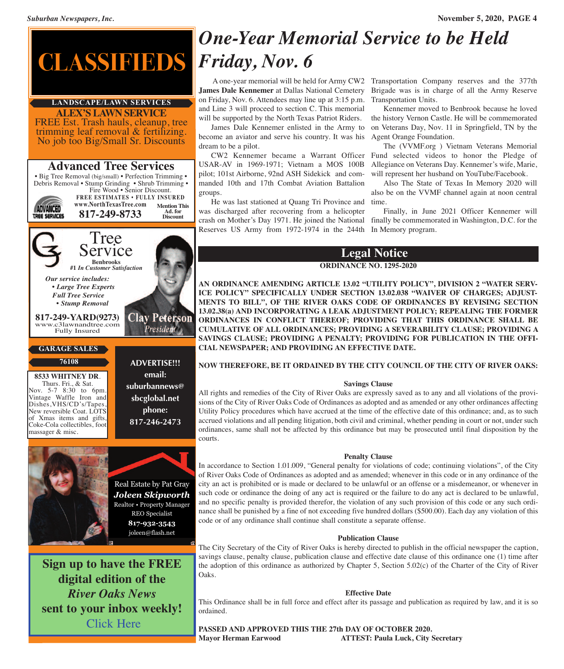

#### **ALEX'S LAWN SERVICE LANDSCAPE/LAWN SERVICES**

FREE Est. Trash hauls, cleanup, tree trimming leaf removal & fertilizing. No job too Big/Small Sr. Discounts

## **Advanced Tree Services**

• Big Tree Removal (big/small) • Perfection Trimming • Debris Removal • Stump Grinding • Shrub Trimming • Fire Wood • Senior Discount.

**ADVANCED** TREE SERVICES

#### **FREE ESTIMATES • FULLY INSURED www.NorthTexasTree.com 817-249-8733 Mention This Ad. for Discount**



#### **GARAGE SALES**

**76108**

**<sup>8533</sup> WHITNEY DR**. Thurs. Fri., & Sat. Nov. 5-7 8:30 to 6pm. Vintage Waffle Iron and Dishes,VHS/CD's/Tapes, New reversible Coat. LOTS of Xmas items and gifts, Coke-Cola collectibles, foot massager & misc.



**ADVERTISE!!! email: suburbannews@ sbcglobal.net phone: 817-246-2473**



**Sign up to have the FREE digital edition of the** *River Oaks News* **sent to your inbox weekly!** [Click](http://eepurl.com/g3m8OX) Here

# *One-Year Memorial Service to be Held*

**James Dale Kennemer** at Dallas National Cemetery Brigade was is in charge of all the Army Reserve on Friday, Nov. 6. Attendees may line up at 3:15 p.m. Transportation Units. and Line 3 will proceed to section C. This memorial will be supported by the North Texas Patriot Riders.

become an aviator and serve his country. It was his Agent Orange Foundation. dream to be a pilot.

 CW2 Kennemer became a Warrant Officer Fund selected videos to honor the Pledge of USAR-AV in 1969-1971; Vietnam a MOS 100B pilot; 101st Airborne, 92nd ASH Sidekick and commanded 10th and 17th Combat Aviation Battalion groups.

 He was last stationed at Quang Tri Province and time. was discharged after recovering from a helicopter Reserves US Army from 1972-1974 in the 244th In Memory program.

A one-year memorial will be held for Army CW2 Transportation Company reserves and the 377th

 James Dale Kennemer enlisted in the Army to on Veterans Day, Nov. 11 in Springfield, TN by the Kennemer moved to Benbrook because he loved the history Vernon Castle. He will be commemorated

 The (VVMF.org ) Vietnam Veterans Memorial Allegiance on Veterans Day. Kennemer's wife, Marie, will represent her husband on YouTube/Facebook.

 Also The State of Texas In Memory 2020 will also be on the VVMF channel again at noon central

crash on Mother's Day 1971. He joined the National finally be commemorated in Washington, D.C. for the Finally, in June 2021 Officer Kennemer will

### **Legal Notice**

#### **ORDINANCE NO. 1295-2020**

**AN ORDINANCE AMENDING ARTICLE 13.02 "UTILITY POLICY", DIVISION 2 "WATER SERV-ICE POLICY" SPECIFICALLY UNDER SECTION 13.02.038 "WAIVER OF CHARGES; ADJUST-MENTS TO BILL", OF THE RIVER OAKS CODE OF ORDINANCES BY REVISING SECTION 13.02.38(a) AND INCORPORATING A LEAK ADJUSTMENT POLICY; REPEALING THE FORMER ORDINANCES IN CONFLICT THEREOF; PROVIDING THAT THIS ORDINANCE SHALL BE CUMULATIVE OF ALL ORDINANCES; PROVIDING A SEVERABILITY CLAUSE; PROVIDING A SAVINGS CLAUSE; PROVIDING A PENALTY; PROVIDING FOR PUBLICATION IN THE OFFI-CIAL NEWSPAPER; AND PROVIDING AN EFFECTIVE DATE.**

#### **NOW THEREFORE, BE IT ORDAINED BY THE CITY COUNCIL OF THE CITY OF RIVER OAKS:**

#### **Savings Clause**

All rights and remedies of the City of River Oaks are expressly saved as to any and all violations of the provisions of the City of River Oaks Code of Ordinances as adopted and as amended or any other ordinances affecting Utility Policy procedures which have accrued at the time of the effective date of this ordinance; and, as to such accrued violations and all pending litigation, both civil and criminal, whether pending in court or not, under such ordinances, same shall not be affected by this ordinance but may be prosecuted until final disposition by the courts.

#### **Penalty Clause**

In accordance to Section 1.01.009, "General penalty for violations of code; continuing violations", of the City of River Oaks Code of Ordinances as adopted and as amended; whenever in this code or in any ordinance of the city an act is prohibited or is made or declared to be unlawful or an offense or a misdemeanor, or whenever in such code or ordinance the doing of any act is required or the failure to do any act is declared to be unlawful, and no specific penalty is provided therefor, the violation of any such provision of this code or any such ordinance shall be punished by a fine of not exceeding five hundred dollars (\$500.00). Each day any violation of this code or of any ordinance shall continue shall constitute a separate offense.

#### **Publication Clause**

The City Secretary of the City of River Oaks is hereby directed to publish in the official newspaper the caption, savings clause, penalty clause, publication clause and effective date clause of this ordinance one (1) time after the adoption of this ordinance as authorized by Chapter 5, Section 5.02(c) of the Charter of the City of River Oaks.

#### **Effective Date**

This Ordinance shall be in full force and effect after its passage and publication as required by law, and it is so ordained.

**PASSED AND APPROVED THIS THE 27th DAY OF OCTOBER 2020. Mayor Herman Earwood ATTEST: Paula Luck, City Secretary**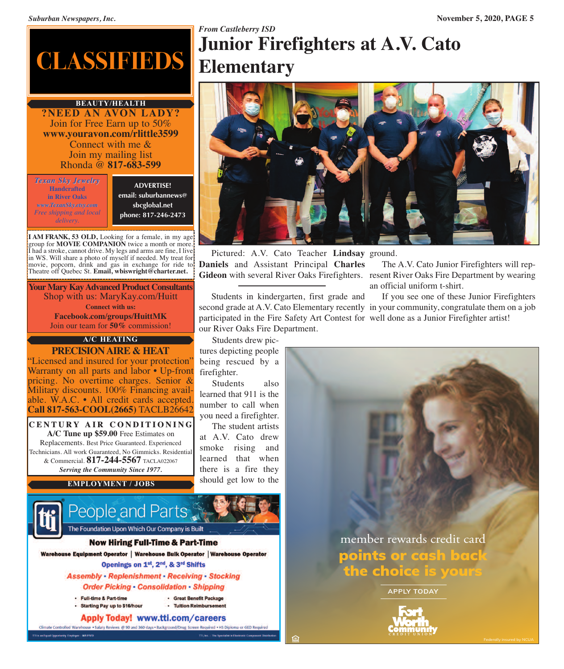# **CLASSIFIEDS**

**?NEED AN AVON LADY?** Join for Free Earn up to 50% **www.youravon.com/rlittle3599** Connect with me & Join my mailing list Rhonda @ **817-683-599 BEAUTY/HEALTH**

*Texan Sky Jewelry* **Handcrafted in River Oaks** *www.TexanSky.etsy.com Free shipping and local delivery.*

**ADVERTISE! email: suburbannews@ sbcglobal.net phone: 817-246-2473**

**I AM FRANK, 53 OLD,** Looking for a female, in my age group for **MOVIE COMPANION** twice a month or more. I had a stroke, cannot drive. My legs and arms are fine, I live in WS. Will share a photo of myself if needed. My treat for movie, popcorn, drink and gas in exchange for ride to Theatre off Quebec St. **Email, wbiswright@charter.net.**

**Your Mary Kay Advanced Product Consultants** Shop with us: MaryKay.com/Huitt **Connect with us: Facebook.com/groups/HuittMK** Join our team for **50%** commission!

### **A/C HEATING**

**PRECISIONAIRE & HEAT** "Licensed and insured for your protection" Warranty on all parts and labor • Up-front pricing. No overtime charges. Senior & Military discounts. 100% Financing available. W.A.C. • All credit cards accepted.<br>**Call 817-563-COOL(2665)** TACLB26642

**C E N T U R Y A I R C O N D I T I O N I N G A/C Tune up \$59.00** Free Estimates on Replacements. Best Price Guaranteed. Experienced Technicians. All work Guaranteed, No Gimmicks. Residential & Commercial. **817-244-5567** TACLA022067 *Serving the Community Since 1977.*

**EMPLOYMENT / JOBS**



People and Parts The Foundation Upon Which Our Company is Built

#### **Now Hiring Full-Time & Part-Time**

Warehouse Equipment Operator | Warehouse Bulk Operator | Warehouse Operator Openings on 1st, 2nd, & 3rd Shifts

> **Assembly - Replenishment - Receiving - Stocking Order Picking - Consolidation - Shipping**

- · Full-time & Part-time
- · Starting Pay up to \$16/hour

**Apply Today! www.tti.com/careers** 

Climate Controlled Warehouse . Salary Reviews @ 90 and 360 days . Background/Drug Screen Required . HS Diploma or GED Req

· Tuition Reimbursement

· Great Benefit Package

# *From Castleberry ISD* **Junior Firefighters at A.V. Cato Elementary**



 Pictured: A.V. Cato Teacher **Lindsay** ground. **Daniels** and Assistant Principal **Charles** Gideon with several River Oaks Firefighters. resent River Oaks Fire Department by wearing

 The A.V. Cato Junior Firefighters will repan official uniform t-shirt.

 Students in kindergarten, first grade and second grade at A.V. Cato Elementary recently in your community, congratulate them on a job participated in the Fire Safety Art Contest for well done as a Junior Firefighter artist!our River Oaks Fire Department.

being rescued by a

 Students also learned that 911 is the number to call when you need a firefighter. The student artists at A.V. Cato drew smoke rising and learned that when there is a fire they should get low to the

firefighter.

 Students drew pictures depicting people

If you see one of these Junior Firefighters

member rewards credit card **points or cash back the [choice](https://www.ftwccu.org/home/home) is yours**

**APPLY TODAY**